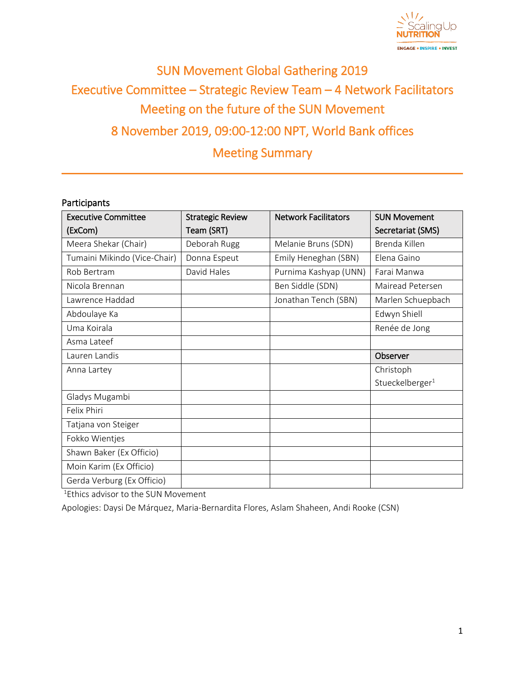

# SUN Movement Global Gathering 2019 Executive Committee – Strategic Review Team – 4 Network Facilitators Meeting on the future of the SUN Movement 8 November 2019, 09:00-12:00 NPT, World Bank offices Meeting Summary

#### **Participants**

| <b>Executive Committee</b>   | <b>Strategic Review</b> | <b>Network Facilitators</b> | <b>SUN Movement</b>         |
|------------------------------|-------------------------|-----------------------------|-----------------------------|
| (ExCom)                      | Team (SRT)              |                             | Secretariat (SMS)           |
| Meera Shekar (Chair)         | Deborah Rugg            | Melanie Bruns (SDN)         | Brenda Killen               |
| Tumaini Mikindo (Vice-Chair) | Donna Espeut            | Emily Heneghan (SBN)        | Elena Gaino                 |
| Rob Bertram                  | David Hales             | Purnima Kashyap (UNN)       | Farai Manwa                 |
| Nicola Brennan               |                         | Ben Siddle (SDN)            | Mairead Petersen            |
| Lawrence Haddad              |                         | Jonathan Tench (SBN)        | Marlen Schuepbach           |
| Abdoulaye Ka                 |                         |                             | Edwyn Shiell                |
| Uma Koirala                  |                         |                             | Renée de Jong               |
| Asma Lateef                  |                         |                             |                             |
| Lauren Landis                |                         |                             | Observer                    |
| Anna Lartey                  |                         |                             | Christoph                   |
|                              |                         |                             | Stueckelberger <sup>1</sup> |
| Gladys Mugambi               |                         |                             |                             |
| Felix Phiri                  |                         |                             |                             |
| Tatjana von Steiger          |                         |                             |                             |
| Fokko Wientjes               |                         |                             |                             |
| Shawn Baker (Ex Officio)     |                         |                             |                             |
| Moin Karim (Ex Officio)      |                         |                             |                             |
| Gerda Verburg (Ex Officio)   |                         |                             |                             |

<sup>1</sup>Ethics advisor to the SUN Movement

Apologies: Daysi De Márquez, Maria-Bernardita Flores, Aslam Shaheen, Andi Rooke (CSN)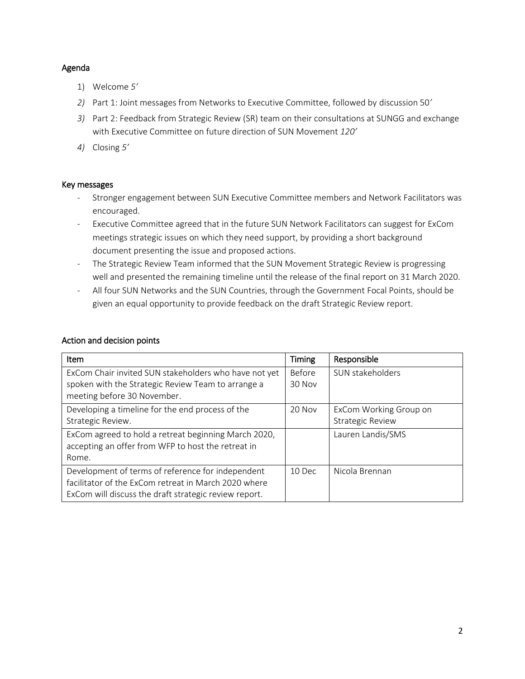#### Agenda

- 1) Welcome *5'*
- *2)* Part 1: Joint messages from Networks to Executive Committee, followed by discussion 50*'*
- *3)* Part 2: Feedback from Strategic Review (SR) team on their consultations at SUNGG and exchange with Executive Committee on future direction of SUN Movement *120'*
- *4)* Closing *5'*

#### Key messages

- Stronger engagement between SUN Executive Committee members and Network Facilitators was encouraged.
- Executive Committee agreed that in the future SUN Network Facilitators can suggest for ExCom meetings strategic issues on which they need support, by providing a short background document presenting the issue and proposed actions.
- The Strategic Review Team informed that the SUN Movement Strategic Review is progressing well and presented the remaining timeline until the release of the final report on 31 March 2020.
- All four SUN Networks and the SUN Countries, through the Government Focal Points, should be given an equal opportunity to provide feedback on the draft Strategic Review report.

| Item                                                  | <b>Timing</b> | Responsible             |
|-------------------------------------------------------|---------------|-------------------------|
| ExCom Chair invited SUN stakeholders who have not yet | Before        | SUN stakeholders        |
| spoken with the Strategic Review Team to arrange a    | 30 Nov        |                         |
| meeting before 30 November.                           |               |                         |
| Developing a timeline for the end process of the      | 20 Nov        | ExCom Working Group on  |
| Strategic Review.                                     |               | <b>Strategic Review</b> |
| ExCom agreed to hold a retreat beginning March 2020,  |               | Lauren Landis/SMS       |
| accepting an offer from WFP to host the retreat in    |               |                         |
| Rome.                                                 |               |                         |
| Development of terms of reference for independent     | 10 Dec        | Nicola Brennan          |
| facilitator of the ExCom retreat in March 2020 where  |               |                         |
| ExCom will discuss the draft strategic review report. |               |                         |

#### Action and decision points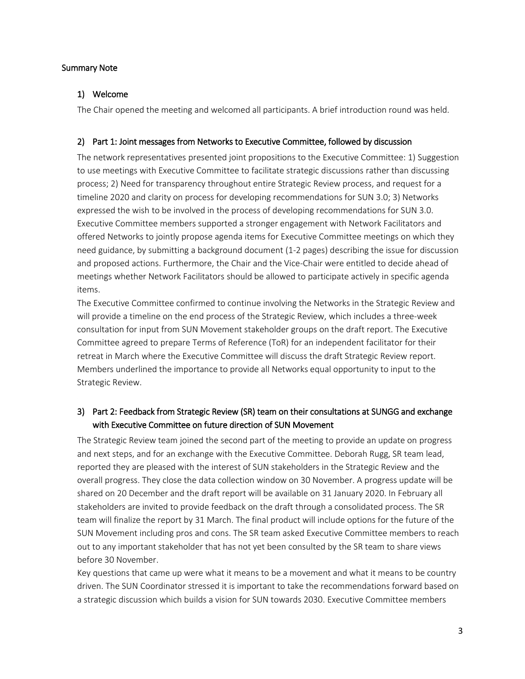#### Summary Note

### 1) Welcome

The Chair opened the meeting and welcomed all participants. A brief introduction round was held.

#### 2) Part 1: Joint messages from Networks to Executive Committee, followed by discussion

The network representatives presented joint propositions to the Executive Committee: 1) Suggestion to use meetings with Executive Committee to facilitate strategic discussions rather than discussing process; 2) Need for transparency throughout entire Strategic Review process, and request for a timeline 2020 and clarity on process for developing recommendations for SUN 3.0; 3) Networks expressed the wish to be involved in the process of developing recommendations for SUN 3.0. Executive Committee members supported a stronger engagement with Network Facilitators and offered Networks to jointly propose agenda items for Executive Committee meetings on which they need guidance, by submitting a background document (1-2 pages) describing the issue for discussion and proposed actions. Furthermore, the Chair and the Vice-Chair were entitled to decide ahead of meetings whether Network Facilitators should be allowed to participate actively in specific agenda items.

The Executive Committee confirmed to continue involving the Networks in the Strategic Review and will provide a timeline on the end process of the Strategic Review, which includes a three-week consultation for input from SUN Movement stakeholder groups on the draft report. The Executive Committee agreed to prepare Terms of Reference (ToR) for an independent facilitator for their retreat in March where the Executive Committee will discuss the draft Strategic Review report. Members underlined the importance to provide all Networks equal opportunity to input to the Strategic Review.

## 3) Part 2: Feedback from Strategic Review (SR) team on their consultations at SUNGG and exchange with Executive Committee on future direction of SUN Movement

The Strategic Review team joined the second part of the meeting to provide an update on progress and next steps, and for an exchange with the Executive Committee. Deborah Rugg, SR team lead, reported they are pleased with the interest of SUN stakeholders in the Strategic Review and the overall progress. They close the data collection window on 30 November. A progress update will be shared on 20 December and the draft report will be available on 31 January 2020. In February all stakeholders are invited to provide feedback on the draft through a consolidated process. The SR team will finalize the report by 31 March. The final product will include options for the future of the SUN Movement including pros and cons. The SR team asked Executive Committee members to reach out to any important stakeholder that has not yet been consulted by the SR team to share views before 30 November.

Key questions that came up were what it means to be a movement and what it means to be country driven. The SUN Coordinator stressed it is important to take the recommendations forward based on a strategic discussion which builds a vision for SUN towards 2030. Executive Committee members